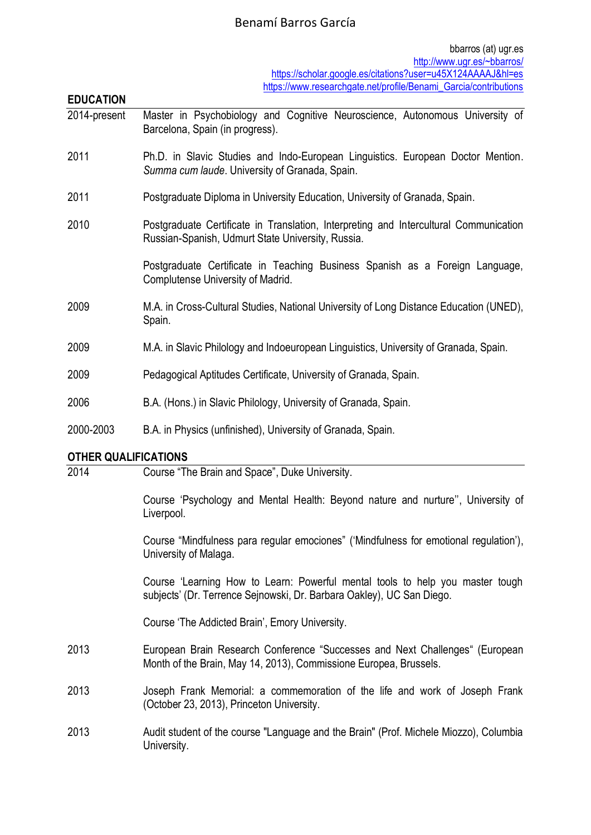# Benamí Barros García

| <b>EDUCATION</b>            |                                                                                                                                            |
|-----------------------------|--------------------------------------------------------------------------------------------------------------------------------------------|
| 2014-present                | Master in Psychobiology and Cognitive Neuroscience, Autonomous University of<br>Barcelona, Spain (in progress).                            |
| 2011                        | Ph.D. in Slavic Studies and Indo-European Linguistics. European Doctor Mention.<br>Summa cum laude. University of Granada, Spain.          |
| 2011                        | Postgraduate Diploma in University Education, University of Granada, Spain.                                                                |
| 2010                        | Postgraduate Certificate in Translation, Interpreting and Intercultural Communication<br>Russian-Spanish, Udmurt State University, Russia. |
|                             | Postgraduate Certificate in Teaching Business Spanish as a Foreign Language,<br>Complutense University of Madrid.                          |
| 2009                        | M.A. in Cross-Cultural Studies, National University of Long Distance Education (UNED),<br>Spain.                                           |
| 2009                        | M.A. in Slavic Philology and Indoeuropean Linguistics, University of Granada, Spain.                                                       |
| 2009                        | Pedagogical Aptitudes Certificate, University of Granada, Spain.                                                                           |
| 2006                        | B.A. (Hons.) in Slavic Philology, University of Granada, Spain.                                                                            |
| 2000-2003                   | B.A. in Physics (unfinished), University of Granada, Spain.                                                                                |
| <b>OTHER QUALIFICATIONS</b> |                                                                                                                                            |
| 2014                        | Course "The Brain and Space", Duke University.                                                                                             |
|                             | Course 'Psychology and Mental Health: Beyond nature and nurture", University of<br>Liverpool.                                              |
|                             | Course "Mindfulness para regular emociones" ('Mindfulness for emotional regulation'),<br>University of Malaga.                             |

Course 'Learning How to Learn: Powerful mental tools to help you master tough subjects' (Dr. Terrence Sejnowski, Dr. Barbara Oakley), UC San Diego.

Course 'The Addicted Brain', Emory University.

- 2013 European Brain Research Conference "Successes and Next Challenges" (European Month of the Brain, May 14, 2013), Commissione Europea, Brussels.
- 2013 Joseph Frank Memorial: a commemoration of the life and work of Joseph Frank (October 23, 2013), Princeton University.
- 2013 Audit student of the course "Language and the Brain" (Prof. Michele Miozzo), Columbia University.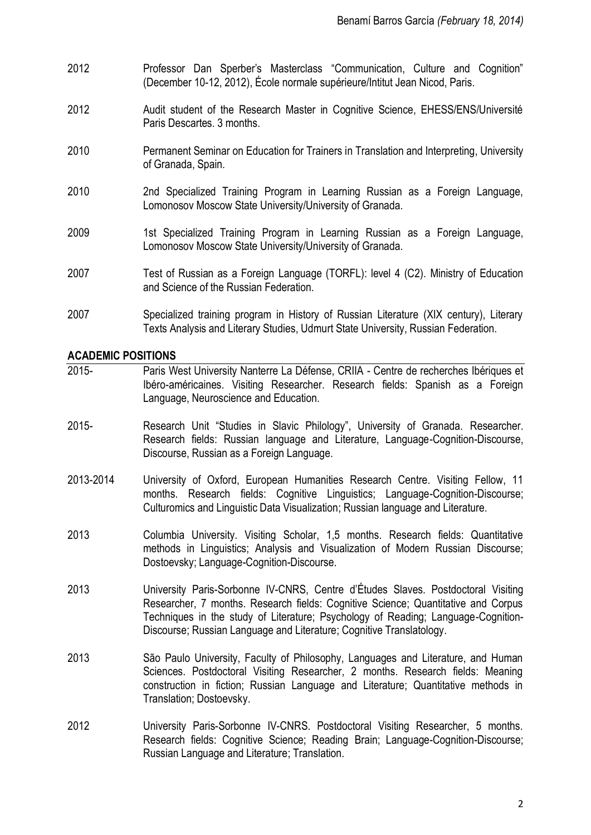- 2012 Professor Dan Sperber's Masterclass "Communication, Culture and Cognition" (December 10-12, 2012), École normale supérieure/Intitut Jean Nicod, Paris.
- 2012 Audit student of the Research Master in Cognitive Science, EHESS/ENS/Université Paris Descartes. 3 months.
- 2010 Permanent Seminar on Education for Trainers in Translation and Interpreting, University of Granada, Spain.
- 2010 2nd Specialized Training Program in Learning Russian as a Foreign Language, Lomonosov Moscow State University/University of Granada.
- 2009 1st Specialized Training Program in Learning Russian as a Foreign Language, Lomonosov Moscow State University/University of Granada.
- 2007 Test of Russian as a Foreign Language (TORFL): level 4 (C2). Ministry of Education and Science of the Russian Federation.
- 2007 Specialized training program in History of Russian Literature (XIX century), Literary Texts Analysis and Literary Studies, Udmurt State University, Russian Federation.

## **ACADEMIC POSITIONS**

- 2015- Paris West University Nanterre La Défense, CRIIA Centre de recherches Ibériques et Ibéro-américaines. Visiting Researcher. Research fields: Spanish as a Foreign Language, Neuroscience and Education.
- 2015- Research Unit "Studies in Slavic Philology", University of Granada. Researcher. Research fields: Russian language and Literature, Language-Cognition-Discourse, Discourse, Russian as a Foreign Language.
- 2013-2014 University of Oxford, European Humanities Research Centre. Visiting Fellow, 11 months. Research fields: Cognitive Linguistics; Language-Cognition-Discourse; Culturomics and Linguistic Data Visualization; Russian language and Literature.
- 2013 Columbia University. Visiting Scholar, 1,5 months. Research fields: Quantitative methods in Linguistics; Analysis and Visualization of Modern Russian Discourse; Dostoevsky; Language-Cognition-Discourse.
- 2013 University Paris-Sorbonne IV-CNRS, Centre d'Études Slaves. Postdoctoral Visiting Researcher, 7 months. Research fields: Cognitive Science; Quantitative and Corpus Techniques in the study of Literature; Psychology of Reading; Language-Cognition-Discourse; Russian Language and Literature; Cognitive Translatology.
- 2013 São Paulo University, Faculty of Philosophy, Languages and Literature, and Human Sciences. Postdoctoral Visiting Researcher, 2 months. Research fields: Meaning construction in fiction; Russian Language and Literature; Quantitative methods in Translation; Dostoevsky.
- 2012 University Paris-Sorbonne IV-CNRS. Postdoctoral Visiting Researcher, 5 months. Research fields: Cognitive Science; Reading Brain; Language-Cognition-Discourse; Russian Language and Literature; Translation.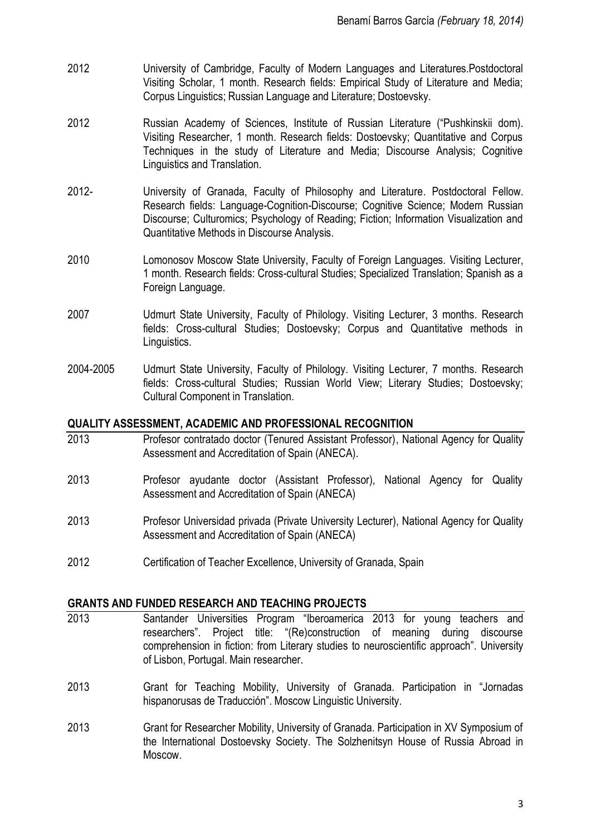- 2012 University of Cambridge, Faculty of Modern Languages and Literatures.Postdoctoral Visiting Scholar, 1 month. Research fields: Empirical Study of Literature and Media; Corpus Linguistics; Russian Language and Literature; Dostoevsky.
- 2012 Russian Academy of Sciences, Institute of Russian Literature ("Pushkinskii dom). Visiting Researcher, 1 month. Research fields: Dostoevsky; Quantitative and Corpus Techniques in the study of Literature and Media; Discourse Analysis; Cognitive Linguistics and Translation.
- 2012- University of Granada, Faculty of Philosophy and Literature. Postdoctoral Fellow. Research fields: Language-Cognition-Discourse; Cognitive Science; Modern Russian Discourse; Culturomics; Psychology of Reading; Fiction; Information Visualization and Quantitative Methods in Discourse Analysis.
- 2010 Lomonosov Moscow State University, Faculty of Foreign Languages. Visiting Lecturer, 1 month. Research fields: Cross-cultural Studies; Specialized Translation; Spanish as a Foreign Language.
- 2007 Udmurt State University, Faculty of Philology. Visiting Lecturer, 3 months. Research fields: Cross-cultural Studies; Dostoevsky; Corpus and Quantitative methods in Linguistics.
- 2004-2005 Udmurt State University, Faculty of Philology. Visiting Lecturer, 7 months. Research fields: Cross-cultural Studies; Russian World View; Literary Studies; Dostoevsky; Cultural Component in Translation.

## **QUALITY ASSESSMENT, ACADEMIC AND PROFESSIONAL RECOGNITION**

- 2013 Profesor contratado doctor (Tenured Assistant Professor), National Agency for Quality Assessment and Accreditation of Spain (ANECA).
- 2013 Profesor ayudante doctor (Assistant Professor), National Agency for Quality Assessment and Accreditation of Spain (ANECA)
- 2013 Profesor Universidad privada (Private University Lecturer), National Agency for Quality Assessment and Accreditation of Spain (ANECA)
- 2012 Certification of Teacher Excellence, University of Granada, Spain

## **GRANTS AND FUNDED RESEARCH AND TEACHING PROJECTS**

- 2013 Santander Universities Program "Iberoamerica 2013 for young teachers and researchers". Project title: "(Re)construction of meaning during discourse comprehension in fiction: from Literary studies to neuroscientific approach". University of Lisbon, Portugal. Main researcher.
- 2013 Grant for Teaching Mobility, University of Granada. Participation in "Jornadas hispanorusas de Traducción". Moscow Linguistic University.
- 2013 Grant for Researcher Mobility, University of Granada. Participation in XV Symposium of the International Dostoevsky Society. The Solzhenitsyn House of Russia Abroad in Moscow.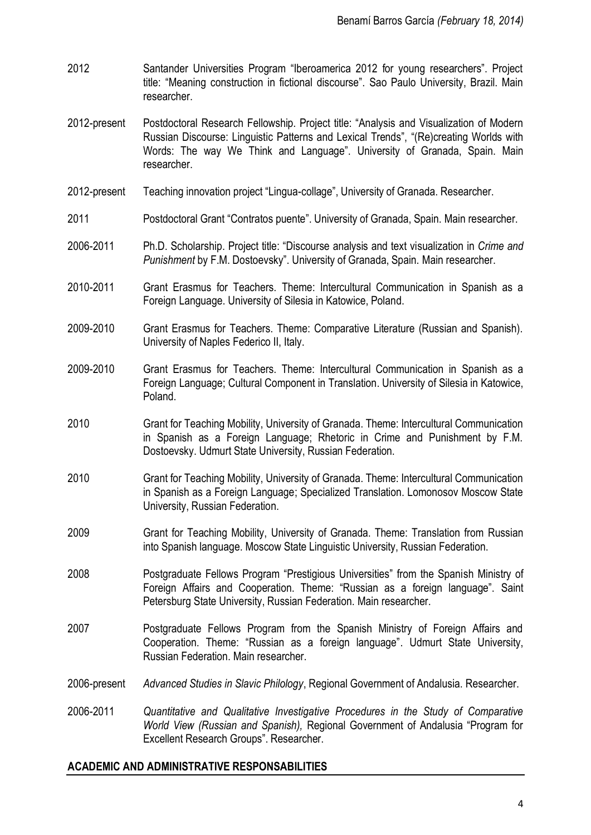- 2012 Santander Universities Program "Iberoamerica 2012 for young researchers". Project title: "Meaning construction in fictional discourse". Sao Paulo University, Brazil. Main researcher.
- 2012-present Postdoctoral Research Fellowship. Project title: "Analysis and Visualization of Modern Russian Discourse: Linguistic Patterns and Lexical Trends", "(Re)creating Worlds with Words: The way We Think and Language". University of Granada, Spain. Main researcher.
- 2012-present Teaching innovation project "Lingua-collage", University of Granada. Researcher.
- 2011 Postdoctoral Grant "Contratos puente". University of Granada, Spain. Main researcher.
- 2006-2011 Ph.D. Scholarship. Project title: "Discourse analysis and text visualization in *Crime and Punishment* by F.M. Dostoevsky". University of Granada, Spain. Main researcher.
- 2010-2011 Grant Erasmus for Teachers. Theme: Intercultural Communication in Spanish as a Foreign Language. University of Silesia in Katowice, Poland.
- 2009-2010 Grant Erasmus for Teachers. Theme: Comparative Literature (Russian and Spanish). University of Naples Federico II, Italy.
- 2009-2010 Grant Erasmus for Teachers. Theme: Intercultural Communication in Spanish as a Foreign Language; Cultural Component in Translation. University of Silesia in Katowice, Poland.
- 2010 Grant for Teaching Mobility, University of Granada. Theme: Intercultural Communication in Spanish as a Foreign Language; Rhetoric in Crime and Punishment by F.M. Dostoevsky. Udmurt State University, Russian Federation.
- 2010 Grant for Teaching Mobility, University of Granada. Theme: Intercultural Communication in Spanish as a Foreign Language; Specialized Translation. Lomonosov Moscow State University, Russian Federation.
- 2009 Grant for Teaching Mobility, University of Granada. Theme: Translation from Russian into Spanish language. Moscow State Linguistic University, Russian Federation.
- 2008 Postgraduate Fellows Program "Prestigious Universities" from the Spanish Ministry of Foreign Affairs and Cooperation. Theme: "Russian as a foreign language". Saint Petersburg State University, Russian Federation. Main researcher.
- 2007 Postgraduate Fellows Program from the Spanish Ministry of Foreign Affairs and Cooperation. Theme: "Russian as a foreign language". Udmurt State University, Russian Federation. Main researcher.
- 2006-present *Advanced Studies in Slavic Philology*, Regional Government of Andalusia. Researcher.
- 2006-2011 *Quantitative and Qualitative Investigative Procedures in the Study of Comparative World View (Russian and Spanish),* Regional Government of Andalusia "Program for Excellent Research Groups". Researcher.

#### **ACADEMIC AND ADMINISTRATIVE RESPONSABILITIES**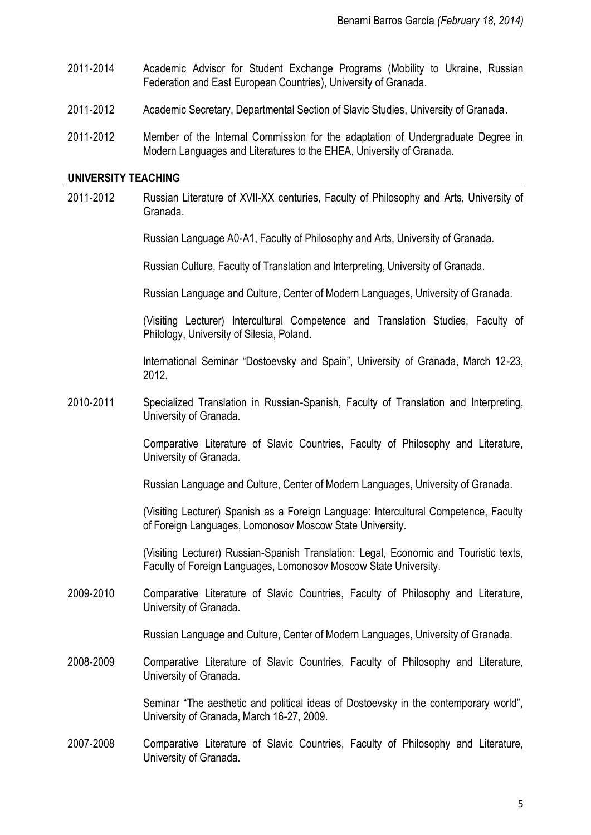- 2011-2014 Academic Advisor for Student Exchange Programs (Mobility to Ukraine, Russian Federation and East European Countries), University of Granada.
- 2011-2012 Academic Secretary, Departmental Section of Slavic Studies, University of Granada.
- 2011-2012 Member of the Internal Commission for the adaptation of Undergraduate Degree in Modern Languages and Literatures to the EHEA, University of Granada.

#### **UNIVERSITY TEACHING**

2011-2012 Russian Literature of XVII-XX centuries, Faculty of Philosophy and Arts, University of Granada.

Russian Language A0-A1, Faculty of Philosophy and Arts, University of Granada.

Russian Culture, Faculty of Translation and Interpreting, University of Granada.

Russian Language and Culture, Center of Modern Languages, University of Granada.

(Visiting Lecturer) Intercultural Competence and Translation Studies, Faculty of Philology, University of Silesia, Poland.

International Seminar "Dostoevsky and Spain", University of Granada, March 12-23, 2012.

2010-2011 Specialized Translation in Russian-Spanish, Faculty of Translation and Interpreting, University of Granada.

> Comparative Literature of Slavic Countries, Faculty of Philosophy and Literature, University of Granada.

Russian Language and Culture, Center of Modern Languages, University of Granada.

(Visiting Lecturer) Spanish as a Foreign Language: Intercultural Competence, Faculty of Foreign Languages, Lomonosov Moscow State University.

(Visiting Lecturer) Russian-Spanish Translation: Legal, Economic and Touristic texts, Faculty of Foreign Languages, Lomonosov Moscow State University.

2009-2010 Comparative Literature of Slavic Countries, Faculty of Philosophy and Literature, University of Granada.

Russian Language and Culture, Center of Modern Languages, University of Granada.

2008-2009 Comparative Literature of Slavic Countries, Faculty of Philosophy and Literature, University of Granada.

> Seminar "The aesthetic and political ideas of Dostoevsky in the contemporary world", University of Granada, March 16-27, 2009.

2007-2008 Comparative Literature of Slavic Countries, Faculty of Philosophy and Literature, University of Granada.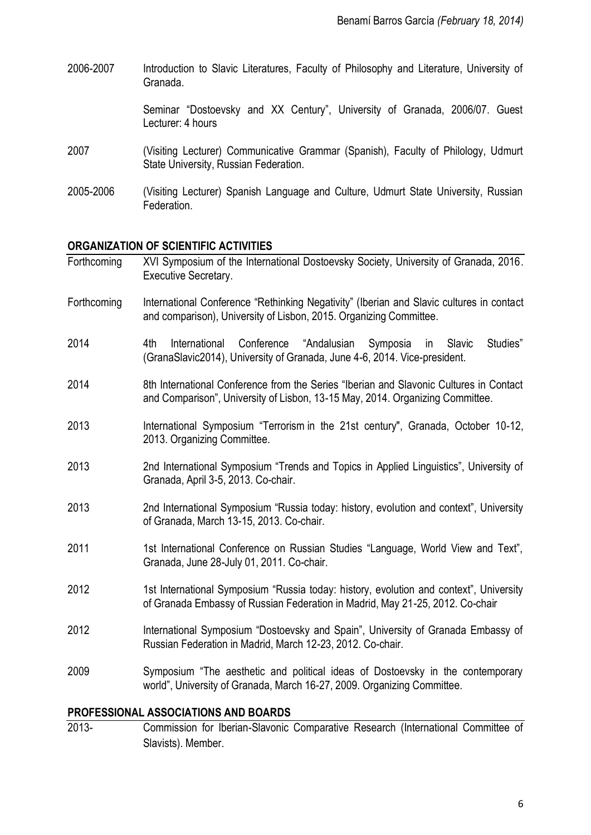2006-2007 Introduction to Slavic Literatures, Faculty of Philosophy and Literature, University of Granada.

> Seminar "Dostoevsky and XX Century", University of Granada, 2006/07. Guest Lecturer: 4 hours

- 2007 (Visiting Lecturer) Communicative Grammar (Spanish), Faculty of Philology, Udmurt State University, Russian Federation.
- 2005-2006 (Visiting Lecturer) Spanish Language and Culture, Udmurt State University, Russian Federation.

#### **ORGANIZATION OF SCIENTIFIC ACTIVITIES**

| Forthcoming                                 | XVI Symposium of the International Dostoevsky Society, University of Granada, 2016.<br><b>Executive Secretary.</b>                                                      |  |
|---------------------------------------------|-------------------------------------------------------------------------------------------------------------------------------------------------------------------------|--|
| Forthcoming                                 | International Conference "Rethinking Negativity" (Iberian and Slavic cultures in contact<br>and comparison), University of Lisbon, 2015. Organizing Committee.          |  |
| 2014                                        | "Andalusian Symposia<br>4th<br>International<br>Conference<br>Studies"<br>in<br>Slavic<br>(GranaSlavic2014), University of Granada, June 4-6, 2014. Vice-president.     |  |
| 2014                                        | 8th International Conference from the Series "Iberian and Slavonic Cultures in Contact<br>and Comparison", University of Lisbon, 13-15 May, 2014. Organizing Committee. |  |
| 2013                                        | International Symposium "Terrorism in the 21st century", Granada, October 10-12,<br>2013. Organizing Committee.                                                         |  |
| 2013                                        | 2nd International Symposium "Trends and Topics in Applied Linguistics", University of<br>Granada, April 3-5, 2013. Co-chair.                                            |  |
| 2013                                        | 2nd International Symposium "Russia today: history, evolution and context", University<br>of Granada, March 13-15, 2013. Co-chair.                                      |  |
| 2011                                        | 1st International Conference on Russian Studies "Language, World View and Text",<br>Granada, June 28-July 01, 2011. Co-chair.                                           |  |
| 2012                                        | 1st International Symposium "Russia today: history, evolution and context", University<br>of Granada Embassy of Russian Federation in Madrid, May 21-25, 2012. Co-chair |  |
| 2012                                        | International Symposium "Dostoevsky and Spain", University of Granada Embassy of<br>Russian Federation in Madrid, March 12-23, 2012. Co-chair.                          |  |
| 2009                                        | Symposium "The aesthetic and political ideas of Dostoevsky in the contemporary<br>world", University of Granada, March 16-27, 2009. Organizing Committee.               |  |
| <b>PROFESSIONAL ASSOCIATIONS AND BOARDS</b> |                                                                                                                                                                         |  |

2013- Commission for Iberian-Slavonic Comparative Research (International Committee of Slavists). Member.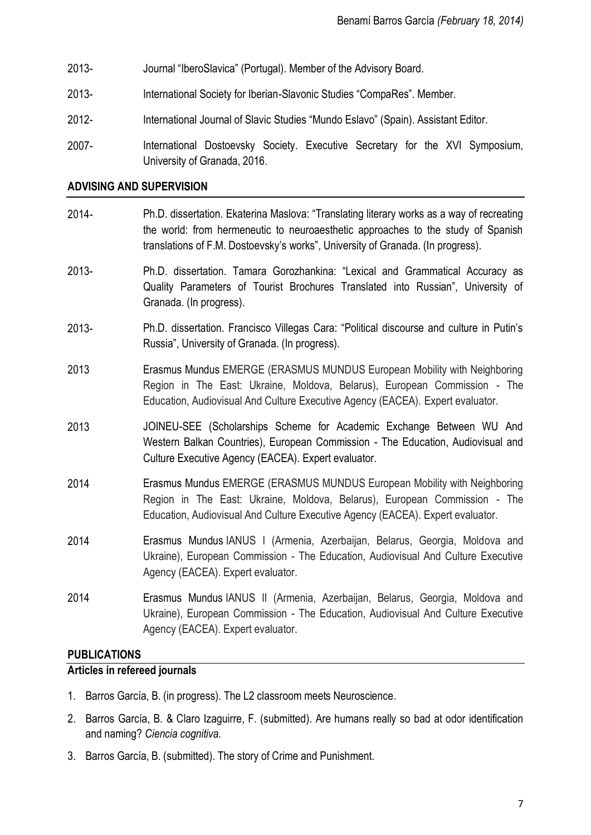- 2013- Journal "IberoSlavica" (Portugal). Member of the Advisory Board.
- 2013- International Society for Iberian-Slavonic Studies "CompaRes". Member.
- 2012- International Journal of Slavic Studies "Mundo Eslavo" (Spain). Assistant Editor.
- 2007- International Dostoevsky Society. Executive Secretary for the XVI Symposium, University of Granada, 2016.

#### **ADVISING AND SUPERVISION**

- 2014- Ph.D. dissertation. Ekaterina Maslova: "Translating literary works as a way of recreating the world: from hermeneutic to neuroaesthetic approaches to the study of Spanish translations of F.M. Dostoevsky's works", University of Granada. (In progress).
- 2013- Ph.D. dissertation. Tamara Gorozhankina: "Lexical and Grammatical Accuracy as Quality Parameters of Tourist Brochures Translated into Russian", University of Granada. (In progress).
- 2013- Ph.D. dissertation. Francisco Villegas Cara: "Political discourse and culture in Putin's Russia", University of Granada. (In progress).
- 2013 Erasmus Mundus EMERGE (ERASMUS MUNDUS European Mobility with Neighboring Region in The East: Ukraine, Moldova, Belarus), European Commission - The Education, Audiovisual And Culture Executive Agency (EACEA). Expert evaluator.
- 2013 JOINEU-SEE (Scholarships Scheme for Academic Exchange Between WU And Western Balkan Countries), European Commission - The Education, Audiovisual and Culture Executive Agency (EACEA). Expert evaluator.
- 2014 Erasmus Mundus EMERGE (ERASMUS MUNDUS European Mobility with Neighboring Region in The East: Ukraine, Moldova, Belarus), European Commission - The Education, Audiovisual And Culture Executive Agency (EACEA). Expert evaluator.
- 2014 Erasmus Mundus IANUS I (Armenia, Azerbaijan, Belarus, Georgia, Moldova and Ukraine), European Commission - The Education, Audiovisual And Culture Executive Agency (EACEA). Expert evaluator.
- 2014 Erasmus Mundus IANUS II (Armenia, Azerbaijan, Belarus, Georgia, Moldova and Ukraine), European Commission - The Education, Audiovisual And Culture Executive Agency (EACEA). Expert evaluator.

## **PUBLICATIONS**

#### **Articles in refereed journals**

- 1. Barros García, B. (in progress). The L2 classroom meets Neuroscience.
- 2. Barros García, B. & Claro Izaguirre, F. (submitted). Are humans really so bad at odor identification and naming? *Ciencia cognitiva.*
- 3. Barros García, B. (submitted). The story of Crime and Punishment.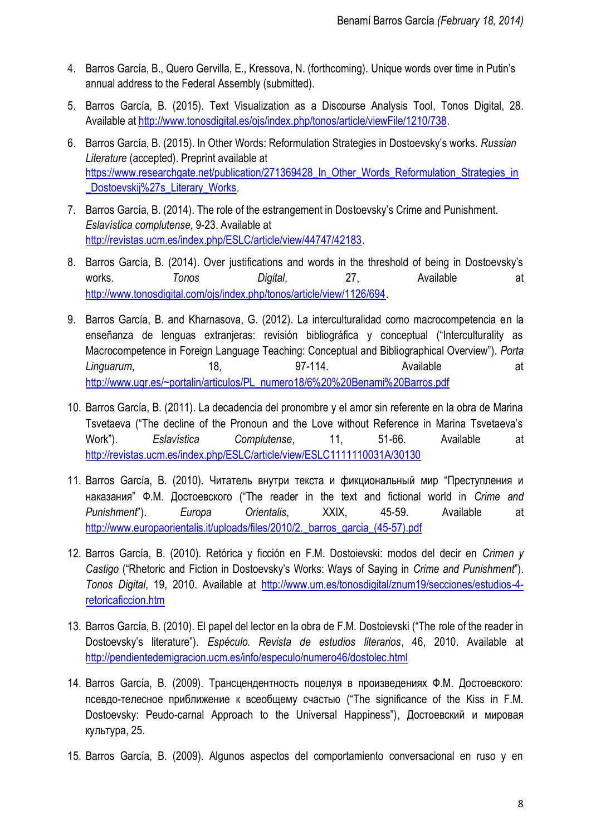- 4. Barros García, B., Quero Gervilla, E., Kressova, N. (forthcoming). Unique words over time in Putin's annual address to the Federal Assembly (submitted).
- 5. Barros García, B. (2015). Text Visualization as a Discourse Analysis Tool, Tonos Digital, 28. Available a[t http://www.tonosdigital.es/ojs/index.php/tonos/article/viewFile/1210/738.](http://www.tonosdigital.es/ojs/index.php/tonos/article/viewFile/1210/738)
- 6. Barros García, B. (2015). In Other Words: Reformulation Strategies in Dostoevsky's works. *Russian Literature* (accepted). Preprint available at [https://www.researchgate.net/publication/271369428\\_In\\_Other\\_Words\\_Reformulation\\_Strategies\\_in](https://www.researchgate.net/publication/271369428_In_Other_Words_Reformulation_Strategies_in_Dostoevskij%27s_Literary_Works) Dostoevskij%27s\_Literary\_Works.
- 7. Barros García, B. (2014). The role of the estrangement in Dostoevsky's Crime and Punishment. *Eslavística complutense,* 9-23. Available at [http://revistas.ucm.es/index.php/ESLC/article/view/44747/42183.](http://revistas.ucm.es/index.php/ESLC/article/view/44747/42183)
- 8. Barros García, B. (2014). Over justifications and words in the threshold of being in Dostoevsky's works. *Tonos Digital*, 27, Available at [http://www.tonosdigital.com/ojs/index.php/tonos/article/view/1126/694.](http://www.tonosdigital.com/ojs/index.php/tonos/article/view/1126/694)
- 9. Barros García, B. and Kharnasova, G. (2012). La interculturalidad como macrocompetencia en la enseñanza de lenguas extranjeras: revisión bibliográfica y conceptual ("Interculturality as Macrocompetence in Foreign Language Teaching: Conceptual and Bibliographical Overview"). *Porta Linguarum*, 18, 97-114. Available at [http://www.ugr.es/~portalin/articulos/PL\\_numero18/6%20%20Benami%20Barros.pdf](http://www.ugr.es/~portalin/articulos/PL_numero18/6%20%20Benami%20Barros.pdf)
- 10. Barros García, B. (2011). La decadencia del pronombre y el amor sin referente en la obra de Marina Tsvetaeva ("The decline of the Pronoun and the Love without Reference in Marina Tsvetaeva's Work"). *Eslavística Complutense*, 11, 51-66. Available at <http://revistas.ucm.es/index.php/ESLC/article/view/ESLC1111110031A/30130>
- 11. Barros García, B. (2010). Читатель внутри текста и фикциональный мир "Преступления и наказания" Ф.М. Достоевского ("The reader in the text and fictional world in *Crime and Punishment*"). *Europa Orientalis*, XXIX, 45-59. Available at http://www.europaorientalis.it/uploads/files/2010/2. barros\_garcia\_(45-57).pdf
- 12. Barros García, B. (2010). Retórica y ficción en F.M. Dostoievski: modos del decir en *Crimen y Castigo* ("Rhetoric and Fiction in Dostoevsky's Works: Ways of Saying in *Crime and Punishment*"). *Tonos Digital*, 19, 2010. Available at [http://www.um.es/tonosdigital/znum19/secciones/estudios-4](http://www.um.es/tonosdigital/znum19/secciones/estudios-4-retoricaficcion.htm) [retoricaficcion.htm](http://www.um.es/tonosdigital/znum19/secciones/estudios-4-retoricaficcion.htm)
- 13. Barros García, B. (2010). El papel del lector en la obra de F.M. Dostoievski ("The role of the reader in Dostoevsky's literature"). *Espéculo. Revista de estudios literarios*, 46, 2010. Available at <http://pendientedemigracion.ucm.es/info/especulo/numero46/dostolec.html>
- 14. Barros García, B. (2009). Трансцендентность поцелуя в произведениях Ф.М. Достоевского: псевдо-телесное приближение к всеобщему счастью ("The significance of the Kiss in F.M. Dostoevsky: Peudo-carnal Approach to the Universal Happiness"), Достоевский и мировая культура, 25.
- 15. Barros García, B. (2009). Algunos aspectos del comportamiento conversacional en ruso y en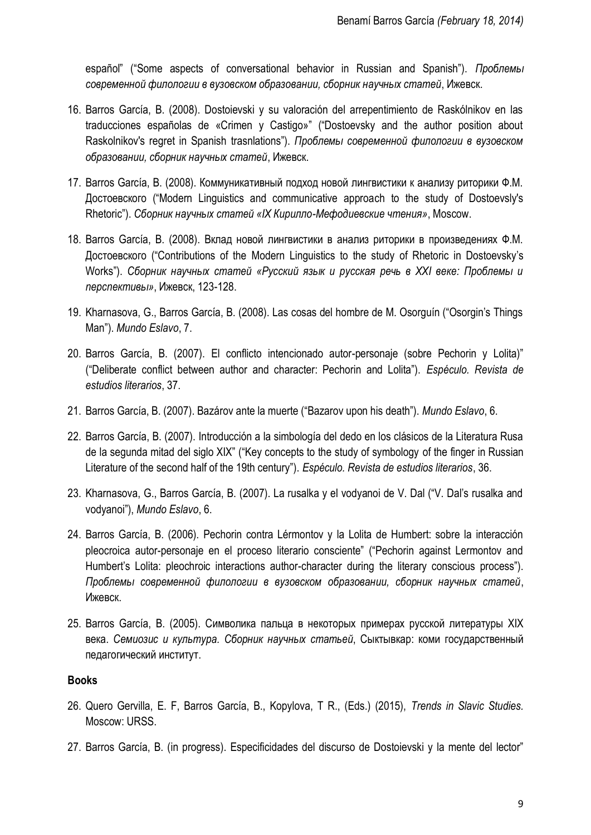español" ("Some aspects of conversational behavior in Russian and Spanish"). *Проблемы современной филологии в вузовском образовании, сборник научных статей*, Ижевск.

- 16. Barros García, B. (2008). Dostoievski y su valoración del arrepentimiento de Raskólnikov en las traducciones españolas de «Crimen y Castigo»" ("Dostoevsky and the author position about Raskolnikov's regret in Spanish trasnlations"). *Проблемы современной филологии в вузовском образовании, сборник научных статей*, Ижевск.
- 17. Barros García, B. (2008). Коммуникативный подход новой лингвистики к анализу риторики Ф.М. Достоевского ("Modern Linguistics and communicative approach to the study of Dostoevsly's Rhetoric"). *Cборник научных статей «IX Кирилло-Мефодиевские чтения»*, Moscow.
- 18. Barros García, B. (2008). Вклад новой лингвистики в анализ риторики в произведениях Ф.М. Достоевского ("Contributions of the Modern Linguistics to the study of Rhetoric in Dostoevsky's Works"). *Cборник научных статей «Русский язык и русская речь в XXI веке: Проблемы и перспективы»*, Ижевск, 123-128.
- 19. Kharnasova, G., Barros García, B. (2008). Las cosas del hombre de M. Osorguín ("Osorgin's Things Man"). *Mundo Eslavo*, 7.
- 20. Barros García, B. (2007). El conflicto intencionado autor-personaje (sobre Pechorin y Lolita)" ("Deliberate conflict between author and character: Pechorin and Lolita"). *Espéculo. Revista de estudios literarios*, 37.
- 21. Barros García, B. (2007). Bazárov ante la muerte ("Bazarov upon his death"). *Mundo Eslavo*, 6.
- 22. Barros García, B. (2007). Introducción a la simbología del dedo en los clásicos de la Literatura Rusa de la segunda mitad del siglo XIX" ("Key concepts to the study of symbology of the finger in Russian Literature of the second half of the 19th century"). *Espéculo. Revista de estudios literarios*, 36.
- 23. Kharnasova, G., Barros García, B. (2007). La rusalka y el vodyanoi de V. Dal ("V. Dal's rusalka and vodyanoi"), *Mundo Eslavo*, 6.
- 24. Barros García, B. (2006). Pechorin contra Lérmontov y la Lolita de Humbert: sobre la interacción pleocroica autor-personaje en el proceso literario consciente" ("Pechorin against Lermontov and Humbert's Lolita: pleochroic interactions author-character during the literary conscious process"). *Проблемы современной филологии в вузовском образовании, сборник научных статей*, Ижевск.
- 25. Barros García, B. (2005). Символика пальца в некоторых примерах русской литературы XIX века. *Семиозис и культура. Сборник научных статьей*, Сыктывкар: коми государственный педагогический институт.

## **Books**

- 26. Quero Gervilla, E. F, Barros García, B., Kopylova, T R., (Eds.) (2015), *Trends in Slavic Studies.*  Moscow: URSS.
- 27. Barros García, B. (in progress). Especificidades del discurso de Dostoievski y la mente del lector"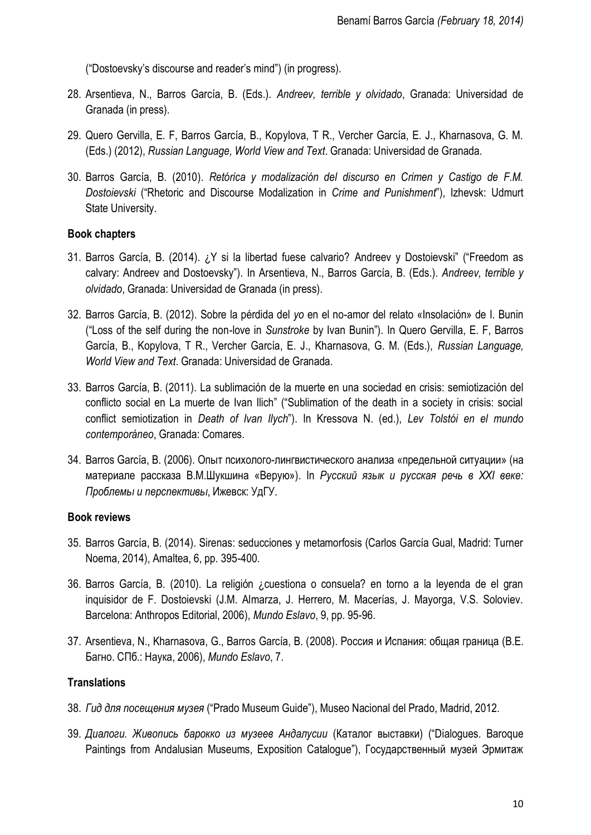("Dostoevsky's discourse and reader's mind") (in progress).

- 28. Arsentieva, N., Barros García, B. (Eds.). *Andreev, terrible y olvidado*, Granada: Universidad de Granada (in press).
- 29. Quero Gervilla, E. F, Barros García, B., Kopylova, T R., Vercher García, E. J., Kharnasova, G. M. (Eds.) (2012), *Russian Language, World View and Text*. Granada: Universidad de Granada.
- 30. Barros García, B. (2010). *Retórica y modalización del discurso en Crimen y Castigo de F.M. Dostoievski* ("Rhetoric and Discourse Modalization in *Crime and Punishment*"), Izhevsk: Udmurt State University.

# **Book chapters**

- 31. Barros García, B. (2014). ¿Y si la libertad fuese calvario? Andreev y Dostoievski" ("Freedom as calvary: Andreev and Dostoevsky"). In Arsentieva, N., Barros García, B. (Eds.). *Andreev, terrible y olvidado*, Granada: Universidad de Granada (in press).
- 32. Barros García, B. (2012). Sobre la pérdida del *yo* en el no-amor del relato «Insolación» de I. Bunin ("Loss of the self during the non-love in *Sunstroke* by Ivan Bunin"). In Quero Gervilla, E. F, Barros García, B., Kopylova, T R., Vercher García, E. J., Kharnasova, G. M. (Eds.), *Russian Language, World View and Text*. Granada: Universidad de Granada.
- 33. Barros García, B. (2011). La sublimación de la muerte en una sociedad en crisis: semiotización del conflicto social en La muerte de Ivan Ilich" ("Sublimation of the death in a society in crisis: social conflict semiotization in *Death of Ivan Ilych*"). In Kressova N. (ed.), *Lev Tolstói en el mundo contemporáneo*, Granada: Comares.
- 34. Barros García, B. (2006). Опыт психолого-лингвистического анализа «предельной ситуации» (на материале рассказа В.М.Шукшина «Верую»). In *Русский язык и русская речь в XXI веке: Проблемы и перспективы*, Ижевск: УдГУ.

# **Book reviews**

- 35. Barros García, B. (2014). Sirenas: seducciones y metamorfosis (Carlos García Gual, Madrid: Turner Noema, 2014), Amaltea, 6, pp. 395-400.
- 36. Barros García, B. (2010). La religión ¿cuestiona o consuela? en torno a la leyenda de el gran inquisidor de F. Dostoievski (J.M. Almarza, J. Herrero, M. Macerías, J. Mayorga, V.S. Soloviev. Barcelona: Anthropos Editorial, 2006), *Mundo Eslavo*, 9, pp. 95-96.
- 37. Arsentieva, N., Kharnasova, G., Barros García, B. (2008). Россия и Испания: общая граница (В.Е. Багно. СПб.: Наука, 2006), *Mundo Eslavo*, 7.

# **Translations**

- 38. *Гид для посещения музея* ("Prado Museum Guide"), Museo Nacional del Prado, Madrid, 2012.
- 39. *Диалоги. Живопись барокко из музеев Андалусии* (Каталог выставки) ("Dialogues. Baroque Paintings from Andalusian Museums, Exposition Catalogue"), Государственный музей Эрмитаж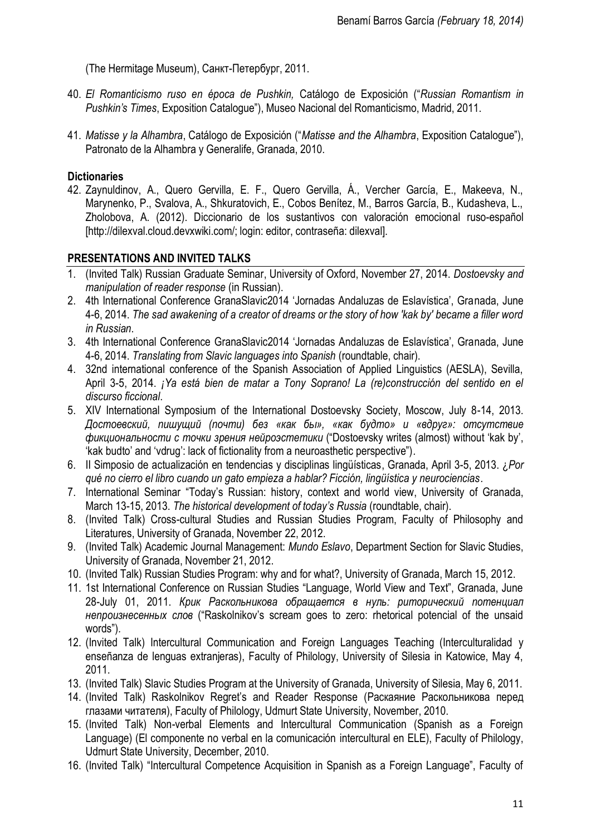(The Hermitage Museum), Санкт-Петербург, 2011.

- 40. *El Romanticismo ruso en época de Pushkin,* Catálogo de Exposición ("*Russian Romantism in Pushkin's Times*, Exposition Catalogue"), Museo Nacional del Romanticismo, Madrid, 2011.
- 41. *Matisse y la Alhambra*, Catálogo de Exposición ("*Matisse and the Alhambra*, Exposition Catalogue"), Patronato de la Alhambra y Generalife, Granada, 2010.

# **Dictionaries**

42. Zaynuldinov, A., Quero Gervilla, E. F., Quero Gervilla, Á., Vercher García, E., Makeeva, N., Marynenko, P., Svalova, A., Shkuratovich, E., Cobos Benítez, M., Barros García, B., Kudasheva, L., Zholobova, A. (2012). Diccionario de los sustantivos con valoración emocional ruso-español [http://dilexval.cloud.devxwiki.com/; login: editor, contraseña: dilexval].

# **PRESENTATIONS AND INVITED TALKS**

- 1. (Invited Talk) Russian Graduate Seminar, University of Oxford, November 27, 2014. *Dostoevsky and manipulation of reader response* (in Russian).
- 2. 4th International Conference GranaSlavic2014 'Jornadas Andaluzas de Eslavística', Granada, June 4-6, 2014. *The sad awakening of a creator of dreams or the story of how 'kak by' became a filler word in Russian*.
- 3. 4th International Conference GranaSlavic2014 'Jornadas Andaluzas de Eslavística', Granada, June 4-6, 2014. *Translating from Slavic languages into Spanish* (roundtable, chair).
- 4. 32nd international conference of the Spanish Association of Applied Linguistics (AESLA), Sevilla, April 3-5, 2014. *¡Ya está bien de matar a Tony Soprano! La (re)construcción del sentido en el discurso ficcional*.
- 5. XIV International Symposium of the International Dostoevsky Society, Moscow, July 8-14, 2013. *Достоевский, пишущий (почти) без «как бы», «как будто» и «вдруг»: отсутствие фикциональности с точки зрения нейроэстетики* ("Dostoevsky writes (almost) without 'kak by', 'kak budto' and 'vdrug': lack of fictionality from a neuroasthetic perspective")*.*
- 6. II Simposio de actualización en tendencias y disciplinas lingüísticas, Granada, April 3-5, 2013. ¿*Por qué no cierro el libro cuando un gato empieza a hablar? Ficción, lingüística y neurociencias.*
- 7. International Seminar "Today's Russian: history, context and world view, University of Granada, March 13-15, 2013. *The historical development of today's Russia* (roundtable, chair).
- 8. (Invited Talk) Cross-cultural Studies and Russian Studies Program, Faculty of Philosophy and Literatures, University of Granada, November 22, 2012.
- 9. (Invited Talk) Academic Journal Management: *Mundo Eslavo*, Department Section for Slavic Studies, University of Granada, November 21, 2012.
- 10. (Invited Talk) Russian Studies Program: why and for what?, University of Granada, March 15, 2012.
- 11. 1st International Conference on Russian Studies "Language, World View and Text", Granada, June 28-July 01, 2011. *Крик Раскольникова обращается в нуль: риторический потенциал непроизнесенных слов* ("Raskolnikov's scream goes to zero: rhetorical potencial of the unsaid words")*.*
- 12. (Invited Talk) Intercultural Communication and Foreign Languages Teaching (Interculturalidad y enseñanza de lenguas extranjeras), Faculty of Philology, University of Silesia in Katowice, May 4, 2011.
- 13. (Invited Talk) Slavic Studies Program at the University of Granada, University of Silesia, May 6, 2011.
- 14. (Invited Talk) Raskolnikov Regret's and Reader Response (Раскаяние Раскольникова перед глазами читателя), Faculty of Philology, Udmurt State University, November, 2010.
- 15. (Invited Talk) Non-verbal Elements and Intercultural Communication (Spanish as a Foreign Language) (El componente no verbal en la comunicación intercultural en ELE), Faculty of Philology, Udmurt State University, December, 2010.
- 16. (Invited Talk) "Intercultural Competence Acquisition in Spanish as a Foreign Language", Faculty of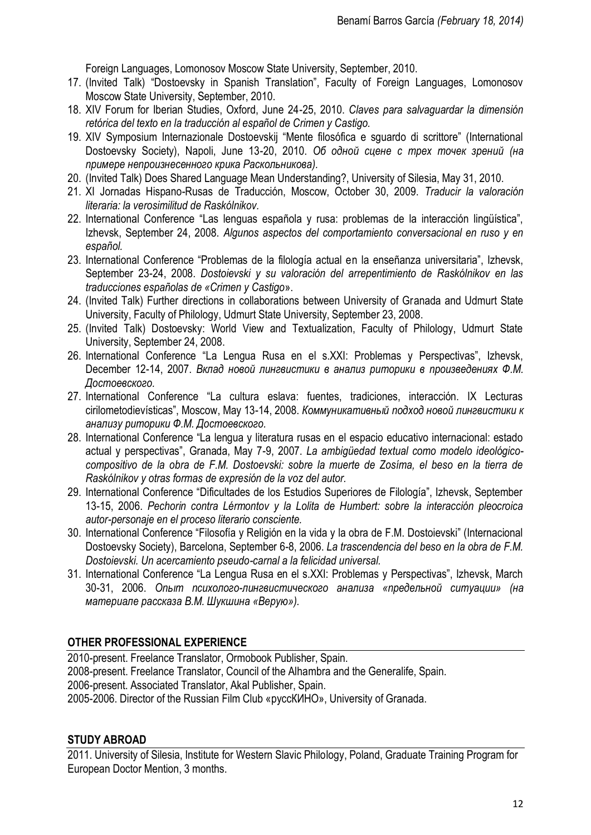Foreign Languages, Lomonosov Moscow State University, September, 2010.

- 17. (Invited Talk) "Dostoevsky in Spanish Translation", Faculty of Foreign Languages, Lomonosov Moscow State University, September, 2010.
- 18. XIV Forum for Iberian Studies, Oxford, June 24-25, 2010. *Claves para salvaguardar la dimensión retórica del texto en la traducción al español de Crimen y Castigo.*
- 19. XIV Symposium Internazionale Dostoevskij "Mente filosófica e sguardo di scrittore" (International Dostoevsky Society), Napoli, June 13-20, 2010. *Об одной сцене с трех точек зрений (на примере непроизнесенного крика Раскольникова).*
- 20. (Invited Talk) Does Shared Language Mean Understanding?, University of Silesia, May 31, 2010.
- 21. XI Jornadas Hispano-Rusas de Traducción, Moscow, October 30, 2009. *Traducir la valoración literaria: la verosimilitud de Raskólnikov.*
- 22. International Conference "Las lenguas española y rusa: problemas de la interacción lingüística", Izhevsk, September 24, 2008. *Algunos aspectos del comportamiento conversacional en ruso y en español.*
- 23. International Conference "Problemas de la filología actual en la enseñanza universitaria", Izhevsk, September 23-24, 2008. *Dostoievski y su valoración del arrepentimiento de Raskólnikov en las traducciones españolas de «Crimen y Castigo*».
- 24. (Invited Talk) Further directions in collaborations between University of Granada and Udmurt State University, Faculty of Philology, Udmurt State University, September 23, 2008.
- 25. (Invited Talk) Dostoevsky: World View and Textualization, Faculty of Philology, Udmurt State University, September 24, 2008.
- 26. International Conference "La Lengua Rusa en el s.XXI: Problemas y Perspectivas", Izhevsk, December 12-14, 2007. *Вклад новой лингвистики в анализ риторики в произведениях Ф.М. Достоевского.*
- 27. International Conference "La cultura eslava: fuentes, tradiciones, interacción. IX Lecturas cirilometodievísticas", Moscow, May 13-14, 2008. *Коммуникативный подход новой лингвистики к анализу риторики Ф.М. Достоевского.*
- 28. International Conference "La lengua y literatura rusas en el espacio educativo internacional: estado actual y perspectivas", Granada, May 7-9, 2007. *La ambigüedad textual como modelo ideológicocompositivo de la obra de F.M. Dostoevski: sobre la muerte de Zosíma, el beso en la tierra de Raskólnikov y otras formas de expresión de la voz del autor.*
- 29. International Conference "Dificultades de los Estudios Superiores de Filología", Izhevsk, September 13-15, 2006. *Pechorin contra Lérmontov y la Lolita de Humbert: sobre la interacción pleocroica autor-personaje en el proceso literario consciente.*
- 30. International Conference "Filosofía y Religión en la vida y la obra de F.M. Dostoievski" (Internacional Dostoevsky Society), Barcelona, September 6-8, 2006. *La trascendencia del beso en la obra de F.M. Dostoievski. Un acercamiento pseudo-carnal a la felicidad universal.*
- 31. International Conference "La Lengua Rusa en el s.XXI: Problemas y Perspectivas", Izhevsk, March 30-31, 2006. *Опыт психолого-лингвистического анализа «предельной ситуации» (на материале рассказа В.М. Шукшина «Верую»).*

# **OTHER PROFESSIONAL EXPERIENCE**

2010-present. Freelance Translator, Ormobook Publisher, Spain. 2008-present. Freelance Translator, Council of the Alhambra and the Generalife, Spain. 2006-present. Associated Translator, Akal Publisher, Spain. 2005-2006. Director of the Russian Film Club «руссКИНО», University of Granada.

## **STUDY ABROAD**

2011. University of Silesia, Institute for Western Slavic Philology, Poland, Graduate Training Program for European Doctor Mention, 3 months.